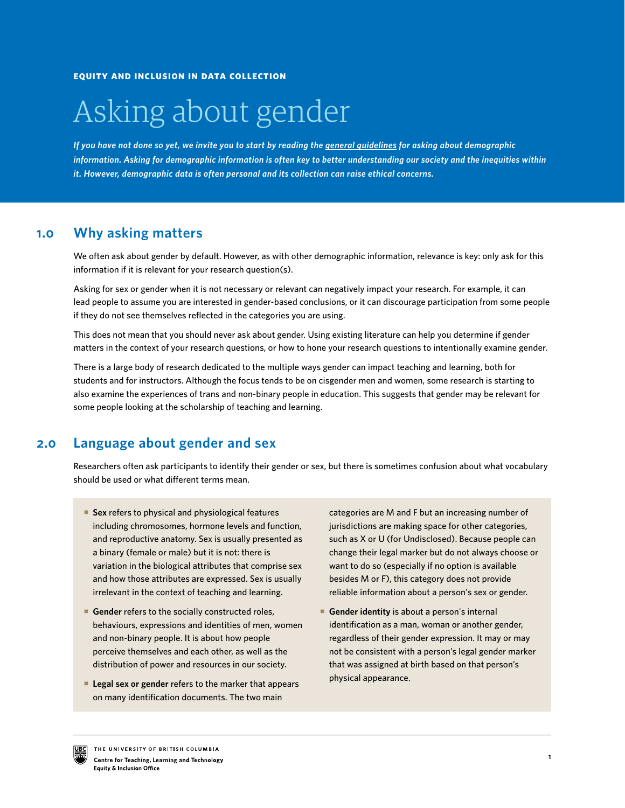# Asking about gender

*If you have not done so yet, we invite you to start by reading the [general guidelines](https://isotl.ctlt.ubc.ca/resources/research-and-evaluation/) for asking about demographic information. Asking for demographic information is often key to better understanding our society and the inequities within it. However, demographic data is often personal and its collection can raise ethical concerns.* 

#### **Why asking matters 1.0**

We often ask about gender by default. However, as with other demographic information, relevance is key: only ask for this information if it is relevant for your research question(s).

Asking for sex or gender when it is not necessary or relevant can negatively impact your research. For example, it can lead people to assume you are interested in gender-based conclusions, or it can discourage participation from some people if they do not see themselves reflected in the categories you are using.

This does not mean that you should never ask about gender. Using existing literature can help you determine if gender matters in the context of your research questions, or how to hone your research questions to intentionally examine gender.

There is a large body of research dedicated to the multiple ways gender can impact teaching and learning, both for students and for instructors. Although the focus tends to be on cisgender men and women, some research is starting to also examine the experiences of trans and non-binary people in education. This suggests that gender may be relevant for some people looking at the scholarship of teaching and learning.

#### **2.0 Language about gender and sex**

Researchers often ask participants to identify their gender or sex, but there is sometimes confusion about what vocabulary should be used or what different terms mean.

- **Sex** refers to physical and physiological features including chromosomes, hormone levels and function, and reproductive anatomy. Sex is usually presented as a binary (female or male) but it is not: there is variation in the biological attributes that comprise sex and how those attributes are expressed. Sex is usually irrelevant in the context of teaching and learning.
- **Gender** refers to the socially constructed roles, behaviours, expressions and identities of men, women and non-binary people. It is about how people perceive themselves and each other, as well as the distribution of power and resources in our society.
- **Legal sex or gender** refers to the marker that appears on many identification documents. The two main

categories are M and F but an increasing number of jurisdictions are making space for other categories, such as X or U (for Undisclosed). Because people can change their legal marker but do not always choose or want to do so (especially if no option is available besides M or F), this category does not provide reliable information about a person's sex or gender.

 **Gender identity** is about a person's internal identification as a man, woman or another gender, regardless of their gender expression. It may or may not be consistent with a person's legal gender marker that was assigned at birth based on that person's physical appearance.

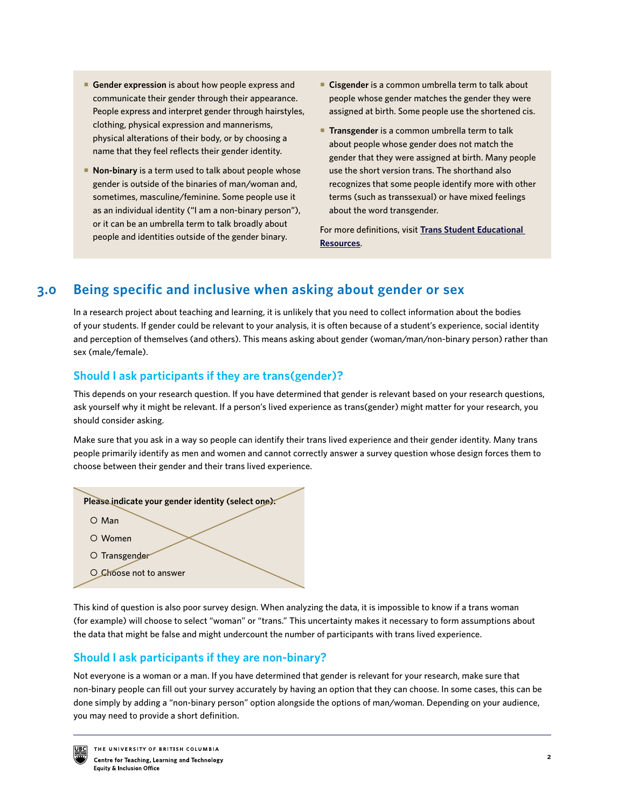- **Gender expression** is about how people express and communicate their gender through their appearance. People express and interpret gender through hairstyles, clothing, physical expression and mannerisms, physical alterations of their body, or by choosing a name that they feel reflects their gender identity.
- **Non-binary** is a term used to talk about people whose gender is outside of the binaries of man/woman and, sometimes, masculine/feminine. Some people use it as an individual identity ("I am a non-binary person"), or it can be an umbrella term to talk broadly about people and identities outside of the gender binary.
- **Cisgender** is a common umbrella term to talk about people whose gender matches the gender they were assigned at birth. Some people use the shortened cis.
- **Transgender** is a common umbrella term to talk about people whose gender does not match the gender that they were assigned at birth. Many people use the short version trans. The shorthand also recognizes that some people identify more with other terms (such as transsexual) or have mixed feelings about the word transgender.

For more definitions, visit **Trans Student Educational Resources**.

#### **Being specific and inclusive when asking about gender or sex 3.0**

In a research project about teaching and learning, it is unlikely that you need to collect information about the bodies of your students. If gender could be relevant to your analysis, it is often because of a student's experience, social identity and perception of themselves (and others). This means asking about gender (woman/man/non-binary person) rather than sex (male/female).

# **Should I ask participants if they are trans(gender)?**

This depends on your research question. If you have determined that gender is relevant based on your research questions, ask yourself why it might be relevant. If a person's lived experience as trans(gender) might matter for your research, you should consider asking.

Make sure that you ask in a way so people can identify their trans lived experience and their gender identity. Many trans people primarily identify as men and women and cannot correctly answer a survey question whose design forces them to choose between their gender and their trans lived experience.



This kind of question is also poor survey design. When analyzing the data, it is impossible to know if a trans woman (for example) will choose to select "woman" or "trans." This uncertainty makes it necessary to form assumptions about the data that might be false and might undercount the number of participants with trans lived experience.

# **Should I ask participants if they are non-binary?**

Not everyone is a woman or a man. If you have determined that gender is relevant for your research, make sure that non-binary people can fill out your survey accurately by having an option that they can choose. In some cases, this can be done simply by adding a "non-binary person" option alongside the options of man/woman. Depending on your audience, you may need to provide a short definition.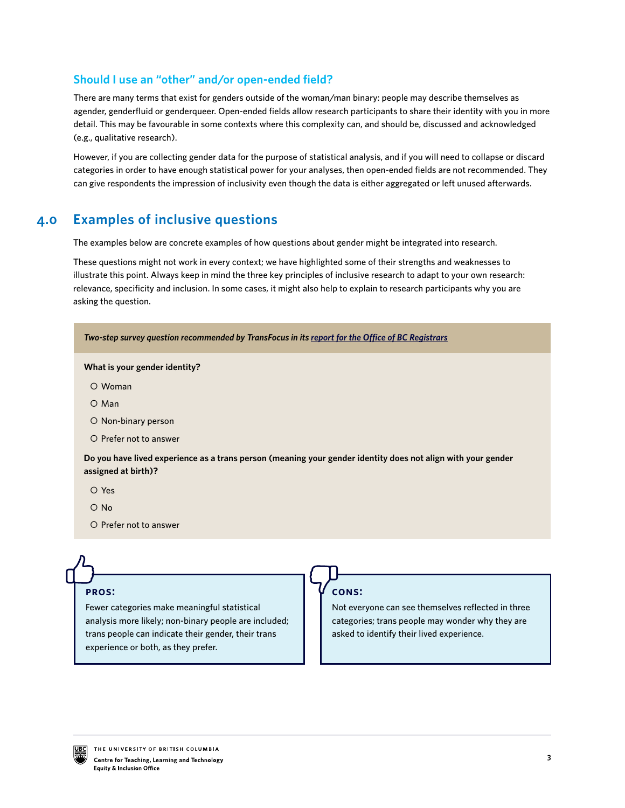# **Should I use an "other" and/or open-ended field?**

There are many terms that exist for genders outside of the woman/man binary: people may describe themselves as agender, genderfluid or genderqueer. Open-ended fields allow research participants to share their identity with you in more detail. This may be favourable in some contexts where this complexity can, and should be, discussed and acknowledged (e.g., qualitative research).

However, if you are collecting gender data for the purpose of statistical analysis, and if you will need to collapse or discard categories in order to have enough statistical power for your analyses, then open-ended fields are not recommended. They can give respondents the impression of inclusivity even though the data is either aggregated or left unused afterwards.

#### **Examples of inclusive questions 4.0**

The examples below are concrete examples of how questions about gender might be integrated into research.

These questions might not work in every context; we have highlighted some of their strengths and weaknesses to illustrate this point. Always keep in mind the three key principles of inclusive research to adapt to your own research: relevance, specificity and inclusion. In some cases, it might also help to explain to research participants why you are asking the question.

| Two-step survey question recommended by TransFocus in its report for the Office of BC Registrars                                    |
|-------------------------------------------------------------------------------------------------------------------------------------|
| What is your gender identity?                                                                                                       |
| O Woman                                                                                                                             |
| $O$ Man                                                                                                                             |
| $\circ$ Non-binary person                                                                                                           |
| O Prefer not to answer                                                                                                              |
| Do you have lived experience as a trans person (meaning your gender identity does not align with your gender<br>assigned at birth)? |
| O Yes                                                                                                                               |
| $\circ$ No                                                                                                                          |
| O Prefer not to answer                                                                                                              |
|                                                                                                                                     |

## **pros:**

Fewer categories make meaningful statistical analysis more likely; non-binary people are included; trans people can indicate their gender, their trans experience or both, as they prefer.

# **cons:**

Not everyone can see themselves reflected in three categories; trans people may wonder why they are asked to identify their lived experience.